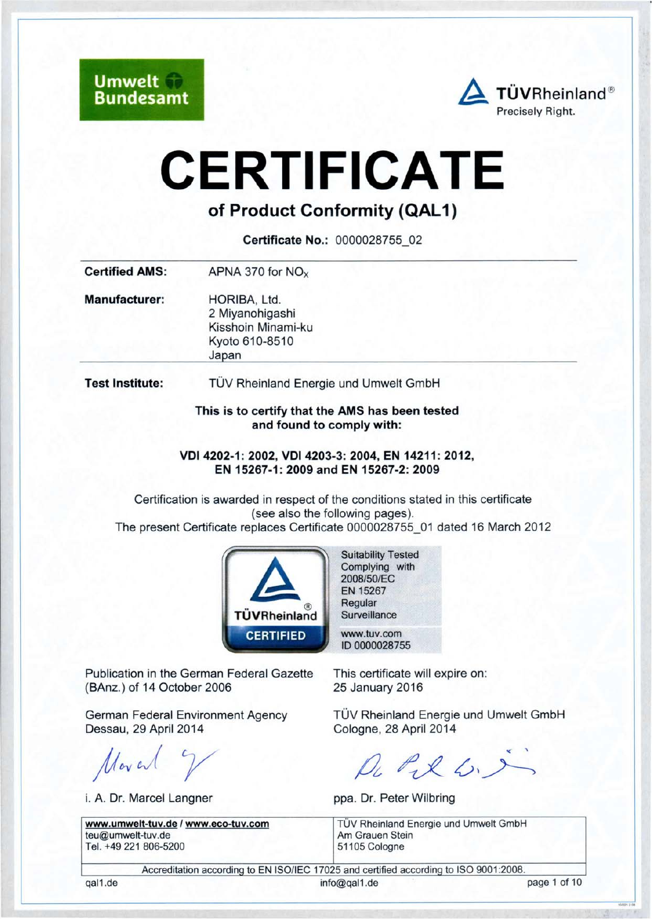**Umwelt Bundesamt** 



# **CERTIFICATE**

# of Product Conformity (QAL1)

Certificate No.: 0000028755 02

| <b>Certified AMS:</b>  | APNA 370 for $NOx$                                                               |  |
|------------------------|----------------------------------------------------------------------------------|--|
| <b>Manufacturer:</b>   | HORIBA, Ltd.<br>2 Miyanohigashi<br>Kisshoin Minami-ku<br>Kyoto 610-8510<br>Japan |  |
| <b>Test Institute:</b> | TÜV Rheinland Energie und Umwelt GmbH                                            |  |
|                        | This is to certify that the AMS has been tested<br>and found to comply with:     |  |

VDI 4202-1: 2002, VDI 4203-3: 2004, EN 14211: 2012, EN 15267-1: 2009 and EN 15267-2: 2009

Certification is awarded in respect of the conditions stated in this certificate (see also the following pages). The present Certificate replaces Certificate 0000028755 01 dated 16 March 2012



Publication in the German Federal Gazette (BAnz.) of 14 October 2006

**German Federal Environment Agency** Dessau, 29 April 2014

Moved 7

i. A. Dr. Marcel Langner

www.umwelt-tuv.de / www.eco-tuv.com teu@umwelt-tuv.de Tel. +49 221 806-5200

**Suitability Tested** Complying with 2008/50/EC EN 15267 Regular Surveillance

www.tuv.com ID 0000028755

This certificate will expire on: 25 January 2016

TÜV Rheinland Energie und Umwelt GmbH Cologne, 28 April 2014

De Pil 6.5

ppa. Dr. Peter Wilbring

TÜV Rheinland Energie und Umwelt GmbH Am Grauen Stein 51105 Cologne

Accreditation according to EN ISO/IEC 17025 and certified according to ISO 9001:2008.

gal1.de

info@gal1.de

page 1 of 10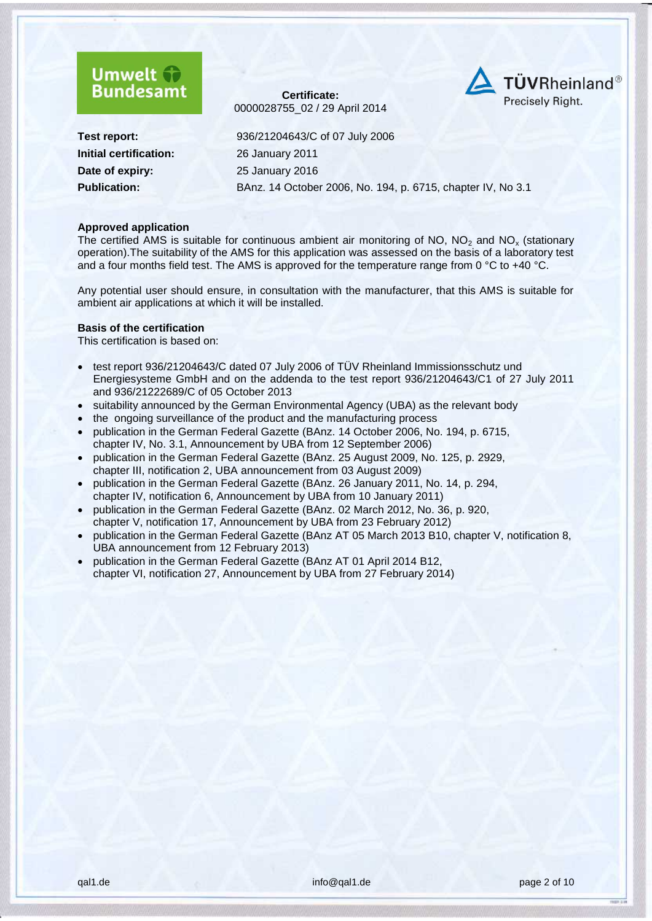



**Initial certification:** 26 January 2011 **Date of expiry:** 25 [January](#page--1-2) 2016

**Test report:** 936/21204643/C of 07 July 2006 **Publication:** BAnz. 14 October 2006, No. 194, p. 6715, chapter IV, No 3.1

#### **Approved application**

The certified AMS is suitable for continuous ambient air monitoring of NO,  $NO<sub>2</sub>$  and NO<sub>x</sub> (stationary operation).The suitability of the AMS for this application was assessed on the basis of a laboratory test and a four months field test. The AMS is approved for the temperature range from 0 °C to +40 °C.

Any potential user should ensure, in consultation with the manufacturer, that this AMS is suitable for ambient air applications at which it will be installed.

#### **Basis of the certification**

This certification is based on:

- test report 936/21204643/C dated 07 July 2006 of TÜV Rheinland Immissionsschutz und Energiesysteme GmbH and on the addenda to the test report 936/21204643/C1 of 27 July 2011 and 936/21222689/C of 05 October 2013
- suitability announced by the German Environmental Agency (UBA) as the relevant body
- the ongoing surveillance of the product and the manufacturing process
- publication in the German Federal Gazette (BAnz. 14 October 2006, No. 194, p. 6715, chapter IV, No. 3.1, Announcement by UBA from 12 September 2006)
- publication in the German Federal Gazette (BAnz. 25 August 2009, No. 125, p. 2929, chapter III, notification 2, UBA announcement from 03 August 2009)
- publication in the German Federal Gazette (BAnz. 26 January 2011, No. 14, p. 294, chapter IV, notification 6, Announcement by UBA from 10 January 2011)
- publication in the German Federal Gazette (BAnz. 02 March 2012, No. 36, p. 920, chapter V, notification 17, Announcement by UBA from 23 February 2012)
- publication in the German Federal Gazette (BAnz AT 05 March 2013 B10, chapter V, notification 8, UBA announcement from 12 February 2013)
- publication in the German Federal Gazette (BAnz AT 01 April 2014 B12, chapter VI, notification 27, Announcement by UBA from 27 February 2014)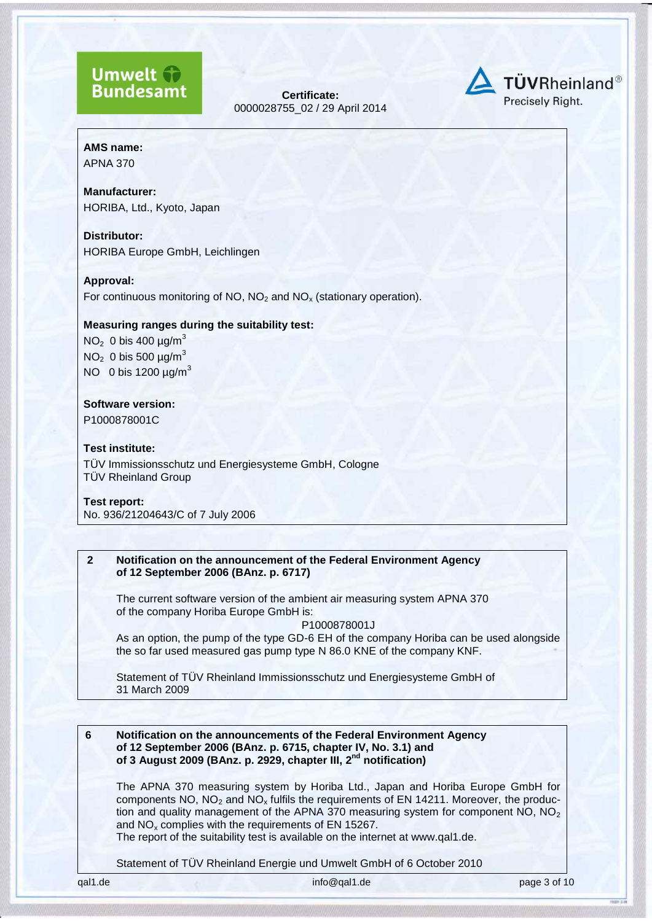# **Umwelt Bundesamt**

**Certificate:** [0000028755\\_](#page--1-0)02 / [29 April 2014](#page--1-1)



**AMS name:**

APNA 370

**Manufacturer:** HORIBA, Ltd., Kyoto, Japan

**Distributor:** HORIBA Europe GmbH, Leichlingen

# **Approval:**

For continuous monitoring of NO,  $NO<sub>2</sub>$  and NO<sub>x</sub> (stationary operation).

# **Measuring ranges during the suitability test:**

 $NO<sub>2</sub>$  0 bis 400  $\mu$ g/m<sup>3</sup> NO<sub>2</sub> 0 bis 500  $\mu$ g/m<sup>3</sup> NO 0 bis 1200  $\mu$ g/m<sup>3</sup>

# **Software version:**

P1000878001C

# **Test institute:**

TÜV Immissionsschutz und Energiesysteme GmbH, Cologne TÜV Rheinland Group

#### **Test report:**

No. 936/21204643/C of 7 July 2006

# **2 Notification on the announcement of the Federal Environment Agency of 12 September 2006 (BAnz. p. 6717)**

The current software version of the ambient air measuring system APNA 370 of the company Horiba Europe GmbH is:

P1000878001J

As an option, the pump of the type GD-6 EH of the company Horiba can be used alongside the so far used measured gas pump type N 86.0 KNE of the company KNF.

Statement of TÜV Rheinland Immissionsschutz und Energiesysteme GmbH of 31 March 2009

# **6 Notification on the announcements of the Federal Environment Agency of 12 September 2006 (BAnz. p. 6715, chapter IV, No. 3.1) and of 3 August 2009 (BAnz. p. 2929, chapter III, 2 nd notification)**

The APNA 370 measuring system by Horiba Ltd., Japan and Horiba Europe GmbH for components NO,  $NO<sub>2</sub>$  and  $NO<sub>x</sub>$  fulfils the requirements of EN 14211. Moreover, the production and quality management of the APNA 370 measuring system for component NO,  $NO<sub>2</sub>$ and  $NO<sub>x</sub>$  complies with the requirements of EN 15267.

The report of the suitability test is available on the internet at www.qal1.de.

Statement of TÜV Rheinland Energie und Umwelt GmbH of 6 October 2010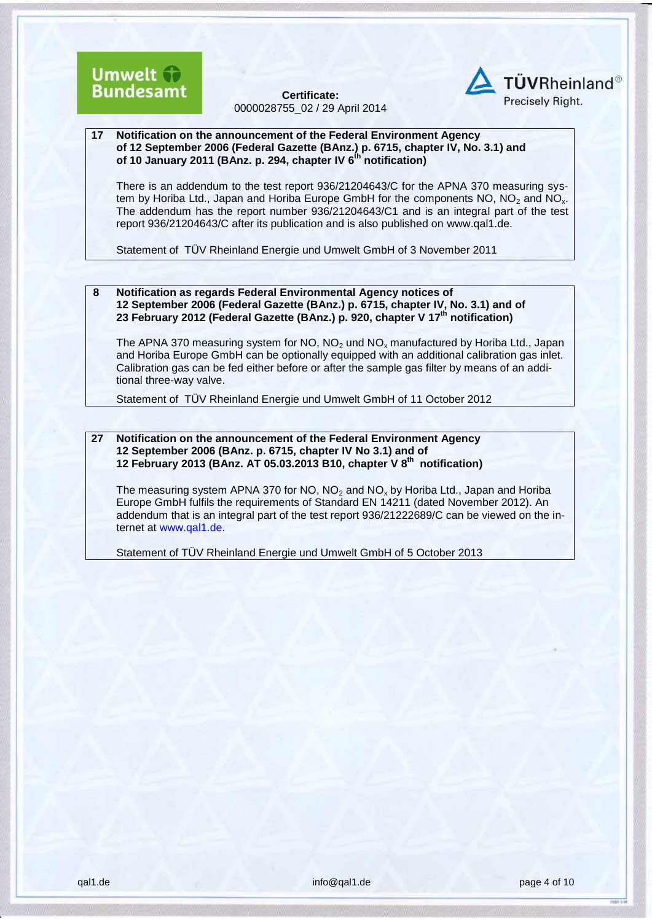



#### **17 Notification on the announcement of the Federal Environment Agency of 12 September 2006 (Federal Gazette (BAnz.) p. 6715, chapter IV, No. 3.1) and of 10 January 2011 (BAnz. p. 294, chapter IV 6 th notification)**

There is an addendum to the test report 936/21204643/C for the APNA 370 measuring system by Horiba Ltd., Japan and Horiba Europe GmbH for the components NO,  $NO<sub>2</sub>$  and NO<sub>x</sub>. The addendum has the report number 936/21204643/C1 and is an integral part of the test report 936/21204643/C after its publication and is also published on [www.qal1.de.](http://www.qal1.de/)

Statement of TÜV Rheinland Energie und Umwelt GmbH of 3 November 2011

#### **8 Notification as regards Federal Environmental Agency notices of 12 September 2006 (Federal Gazette (BAnz.) p. 6715, chapter IV, No. 3.1) and of 23 February 2012 (Federal Gazette (BAnz.) p. 920, chapter V 17th notification)**

The APNA 370 measuring system for NO,  $NO<sub>2</sub>$  und NO<sub>x</sub> manufactured by Horiba Ltd., Japan and Horiba Europe GmbH can be optionally equipped with an additional calibration gas inlet. Calibration gas can be fed either before or after the sample gas filter by means of an additional three-way valve.

Statement of TÜV Rheinland Energie und Umwelt GmbH of 11 October 2012

**27 Notification on the announcement of the Federal Environment Agency 12 September 2006 (BAnz. p. 6715, chapter IV No 3.1) and of 12 February 2013 (BAnz. AT 05.03.2013 B10, chapter V 8 th notification)**

The measuring system APNA 370 for NO,  $NO<sub>2</sub>$  and NO<sub>x</sub> by Horiba Ltd., Japan and Horiba Europe GmbH fulfils the requirements of Standard EN 14211 (dated November 2012). An addendum that is an integral part of the test report 936/21222689/C can be viewed on the internet at www.qal1.de.

Statement of TÜV Rheinland Energie und Umwelt GmbH of 5 October 2013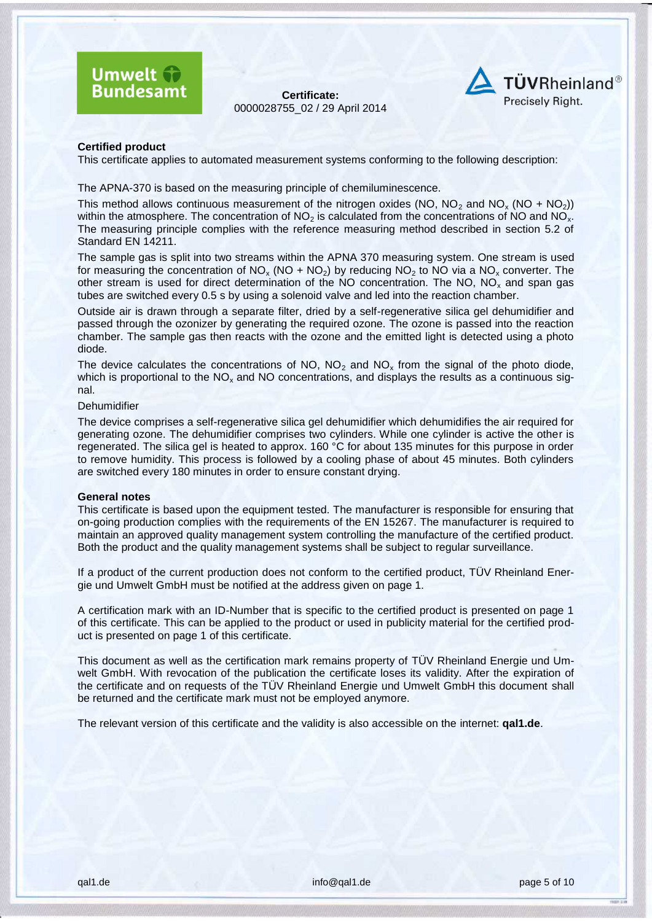



#### **Certified product**

This certificate applies to automated measurement systems conforming to the following description:

The APNA-370 is based on the measuring principle of chemiluminescence.

This method allows continuous measurement of the nitrogen oxides (NO, NO<sub>2</sub> and NO<sub>x</sub> (NO + NO<sub>2</sub>)) within the atmosphere. The concentration of  $NO<sub>2</sub>$  is calculated from the concentrations of NO and NO<sub>x</sub>. The measuring principle complies with the reference measuring method described in section 5.2 of Standard EN 14211.

The sample gas is split into two streams within the APNA 370 measuring system. One stream is used for measuring the concentration of  $NO_x (NO + NO<sub>2</sub>)$  by reducing  $NO_2$  to NO via a NO<sub>x</sub> converter. The other stream is used for direct determination of the NO concentration. The NO,  $NO<sub>x</sub>$  and span gas tubes are switched every 0.5 s by using a solenoid valve and led into the reaction chamber.

Outside air is drawn through a separate filter, dried by a self-regenerative silica gel dehumidifier and passed through the ozonizer by generating the required ozone. The ozone is passed into the reaction chamber. The sample gas then reacts with the ozone and the emitted light is detected using a photo diode.

The device calculates the concentrations of NO,  $NO<sub>2</sub>$  and NO<sub>x</sub> from the signal of the photo diode, which is proportional to the  $NO<sub>x</sub>$  and NO concentrations, and displays the results as a continuous signal.

#### **Dehumidifier**

The device comprises a self-regenerative silica gel dehumidifier which dehumidifies the air required for generating ozone. The dehumidifier comprises two cylinders. While one cylinder is active the other is regenerated. The silica gel is heated to approx. 160 °C for about 135 minutes for this purpose in order to remove humidity. This process is followed by a cooling phase of about 45 minutes. Both cylinders are switched every 180 minutes in order to ensure constant drying.

#### **General notes**

This certificate is based upon the equipment tested. The manufacturer is responsible for ensuring that on-going production complies with the requirements of the EN 15267. The manufacturer is required to maintain an approved quality management system controlling the manufacture of the certified product. Both the product and the quality management systems shall be subject to regular surveillance.

If a product of the current production does not conform to the certified product, TÜV Rheinland Energie und Umwelt GmbH must be notified at the address given on page 1.

A certification mark with an ID-Number that is specific to the certified product is presented on page 1 of this certificate. This can be applied to the product or used in publicity material for the certified product is presented on page 1 of this certificate.

This document as well as the certification mark remains property of TÜV Rheinland Energie und Umwelt GmbH. With revocation of the publication the certificate loses its validity. After the expiration of the certificate and on requests of the TÜV Rheinland Energie und Umwelt GmbH this document shall be returned and the certificate mark must not be employed anymore.

The relevant version of this certificate and the validity is also accessible on the internet: **qal1.de**.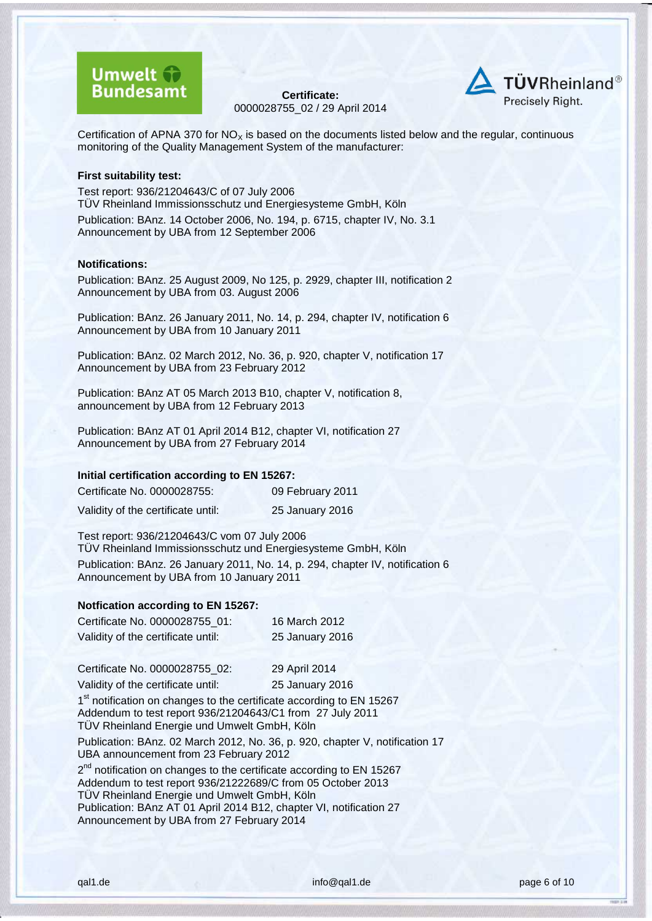



Certification of APNA 370 for  $NO<sub>x</sub>$  is based on the documents listed below and the regular, continuous monitoring of the Quality Management System of the manufacturer:

#### **First suitability test:**

Test report: 936/21204643/C of 07 July 2006 TÜV Rheinland Immissionsschutz und Energiesysteme GmbH, Köln Publication: BAnz. 14 October 2006, No. 194, p. 6715, chapter IV, No. 3.1 Announcement by UBA from 12 September 2006

#### **Notifications:**

Publication: BAnz. 25 August 2009, No 125, p. 2929, chapter III, notification 2 Announcement by UBA from 03. August 2006

Publication: BAnz. 26 January 2011, No. 14, p. 294, chapter IV, notification 6 Announcement by UBA from 10 January 2011

Publication: BAnz. 02 March 2012, No. 36, p. 920, chapter V, notification 17 Announcement by UBA from 23 February 2012

Publication: BAnz AT 05 March 2013 B10, chapter V, notification 8, announcement by UBA from 12 February 2013

Publication: BAnz AT 01 April 2014 B12, chapter VI, notification 27 Announcement by UBA from 27 February 2014

#### **Initial certification according to EN 15267:**

| Certificate No. 0000028755:        | 09 February 2011 |
|------------------------------------|------------------|
| Validity of the certificate until: | 25 January 2016  |

Test report: 936/21204643/C vom 07 July 2006 TÜV Rheinland Immissionsschutz und Energiesysteme GmbH, Köln Publication: BAnz. 26 January 2011, No. 14, p. 294, chapter IV, notification 6 Announcement by UBA from 10 January 2011

#### **Notfication according to EN 15267:**

| Certificate No. 0000028755 01:     | 16 March 2012   |
|------------------------------------|-----------------|
| Validity of the certificate until: | 25 January 2016 |

Certificate No. 0000028755\_02: 29 April 2014

Validity of the certificate until: 25 January 2016

1<sup>st</sup> notification on changes to the certificate according to EN 15267 Addendum to test report 936/21204643/C1 from 27 July 2011 TÜV Rheinland Energie und Umwelt GmbH, Köln Publication: BAnz. 02 March 2012, No. 36, p. 920, chapter V, notification 17

UBA announcement from 23 February 2012

2<sup>nd</sup> notification on changes to the certificate according to EN 15267 Addendum to test report 936/21222689/C from 05 October 2013 TÜV Rheinland Energie und Umwelt GmbH, Köln Publication: BAnz AT 01 April 2014 B12, chapter VI, notification 27 Announcement by UBA from 27 February 2014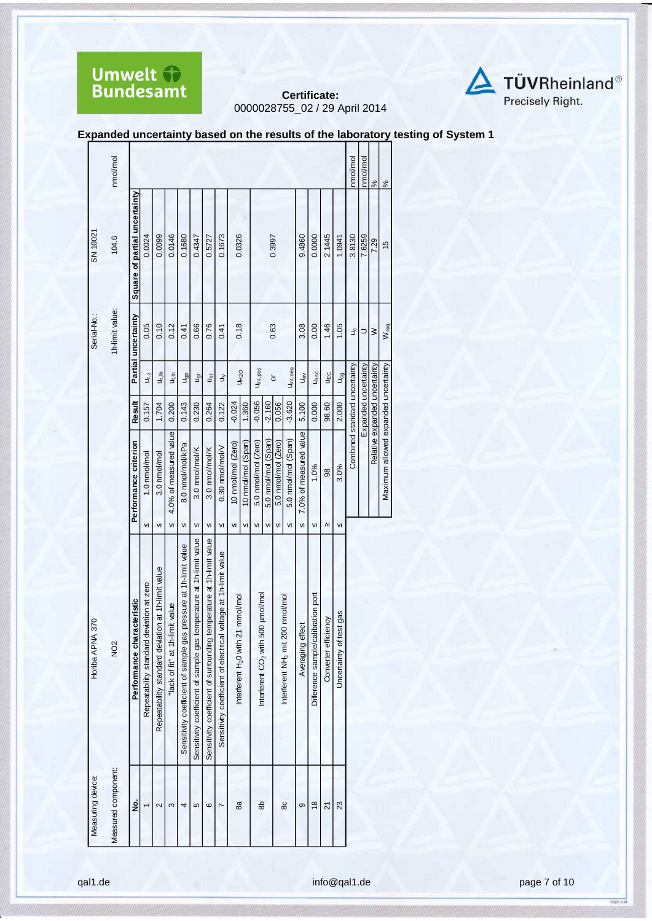



**Expanded uncertainty based on the results of the laboratory testing of System 1** 

|                   | nmol/mol            |                                |                                                   |                                                          |                                                   |                                                                        |                                                                           |                                                                            |                                                                       |                                                        |                    |                                                        |                     |                     |                                                    |                        |                                          |                                   |                                  | nmol/mol                      | nmol/mol             | $\frac{5}{6}$                 | $\frac{8}{3}$                        |  |
|-------------------|---------------------|--------------------------------|---------------------------------------------------|----------------------------------------------------------|---------------------------------------------------|------------------------------------------------------------------------|---------------------------------------------------------------------------|----------------------------------------------------------------------------|-----------------------------------------------------------------------|--------------------------------------------------------|--------------------|--------------------------------------------------------|---------------------|---------------------|----------------------------------------------------|------------------------|------------------------------------------|-----------------------------------|----------------------------------|-------------------------------|----------------------|-------------------------------|--------------------------------------|--|
| SN 10021          | 104.6               | Square of partial uncertainty  | 0.0024                                            | 0.0099                                                   | 0.0146                                            | 0.1680                                                                 | 0.4347                                                                    | 0.5727                                                                     | 0.1673                                                                | 0.0326                                                 |                    |                                                        | 0.3997              |                     |                                                    | 9.4860                 | 0.0000                                   | 2.1445                            | 1.0941                           | 3.8130                        | 7.6259               | 7.29                          | $\frac{15}{2}$                       |  |
| Serial-No.:       | 1h-limit value:     | Partial uncertainty            | 0.05                                              | 0.10                                                     | 0.12                                              | 0.41                                                                   | 0.66                                                                      | 0.76                                                                       | 0.41                                                                  | 0.18                                                   |                    |                                                        | 0.63                |                     |                                                    | 3.08                   | 0.00                                     | 1.46                              | 1.05                             | υç                            | ⊃                    | $\geq$                        | $W_{req}$                            |  |
|                   |                     |                                | $\mathsf{u}_{\mathsf{r},\mathsf{z}}$              | 与                                                        | Jilh                                              | J <sub>gb</sub>                                                        | J <sub>ạt</sub>                                                           | ٦ğ                                                                         | $\geq$                                                                |                                                        | U <sub>H2O</sub>   | U <sub>int,pos</sub>                                   |                     | ŏ                   | Uint, neg                                          | $U_{\text{BV}}$        | $U_{\Delta SC}$                          | UEC                               | J <sub>cg</sub>                  |                               |                      |                               |                                      |  |
|                   |                     | Result                         | 0.157                                             | 1.704                                                    | 0.200                                             | 0.143                                                                  | 0.230                                                                     | 0.264                                                                      | 0.122                                                                 | $-0.024$                                               | 1.360              | $-0.056$                                               | $-2.160$<br>$0.056$ |                     | $-3.620$                                           | 5.100                  | 0.000                                    | 98.60                             | 2.000                            |                               | Expanded uncertainty |                               |                                      |  |
|                   |                     | Performance criterion          | 1.0 nmol/mol                                      | 3.0 nmol/mol                                             | 4.0% of measured value<br>$\overline{\mathsf{M}}$ | 8.0 nmol/mol/kPa                                                       | 3.0 nmol/mol/K                                                            | 3.0 nmol/mol/K                                                             | 0.30 nmol/mol/V                                                       | 10 nmol/mol (Zero)                                     | 10 nmol/mol (Span) | 5.0 nmol/mol (Zero)                                    | 5.0 nmol/mol (Span) | 5.0 nmol/mol (Zero) | 5.0 nmol/mol (Span)                                | 7.0% of measured value | 1.0%                                     | 98                                | 3.0%                             | Combined standard uncertainty |                      | Relative expanded uncertainty | Maximum allowed expanded uncertainty |  |
| Horiba APNA 370   | NO <sub>2</sub>     | racteristic<br>Performance cha | VI<br>deviation at zero<br>Repeatability standard | VI<br>Repeatability standard deviation at 1h-limit value | "lack of fit" at 1h-limit value                   | VI<br>Sensitivity coefficient of sample gas pressure at 1h-limit value | VI<br>Sensitivity coefficient of sample gas temperature at 1h-limit value | VI<br>Sensitivity coefficient of surrounding temperature at 1h-limit value | VI<br>Sensitivity coefficient of electrical voltage at 1h-limit value | VI<br>21 mmol/mol<br>Interferent H <sub>2</sub> 0 with | VI                 | VI<br>500 µmol/mol<br>Interferent CO <sub>2</sub> with | VI                  | VI                  | VI<br>Interferent NH <sub>3</sub> mit 200 nmol/mol | VI<br>Averaging effect | VI<br>Difference sample/calibration port | $\Lambda$<br>Converter efficiency | VI<br>test gas<br>Uncertainty of |                               |                      |                               |                                      |  |
| Measuring device: | Measured component: | ġ                              | $\overline{ }$                                    | $\sim$                                                   | ω                                                 | 4                                                                      | 5                                                                         | ဖ                                                                          | Z                                                                     | 8a                                                     |                    | 8                                                      |                     |                     | 80                                                 | တ                      | $\frac{8}{2}$                            | $\overline{2}$                    | 23                               |                               |                      |                               |                                      |  |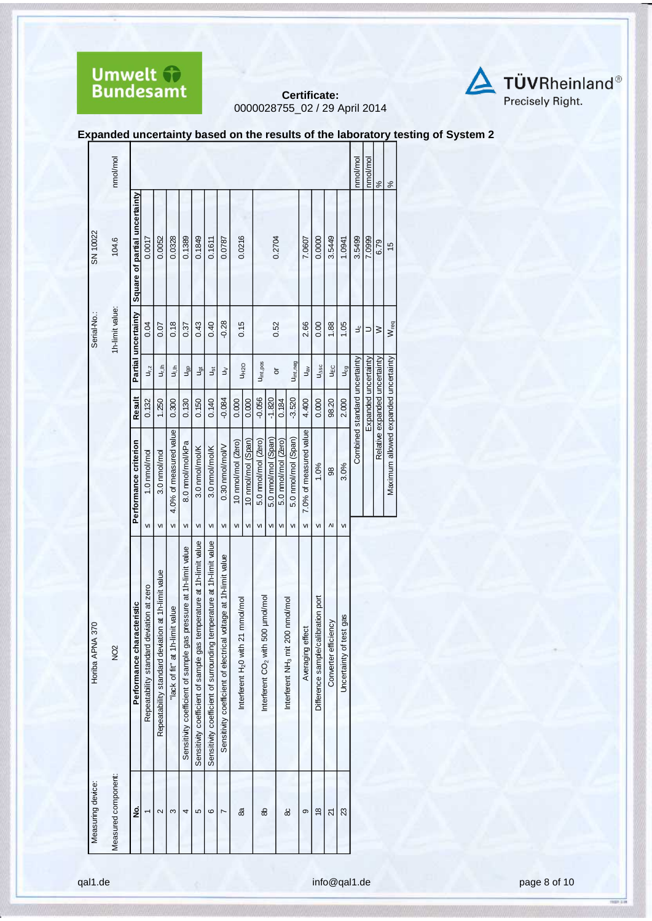



**Expanded uncertainty based on the results of the laboratory testing of System 2** 

|                    | nmol/mol            |                               |                                                |                                                                      |                                                   |                                                                        |                                                                              |                                                                               |                                                                          |                                                     |                    |                                                     |                     |                     |                                                    |                         |                                          |                                   |                               | nmol/mol                      | nmol/mol             | $\frac{5}{6}$                 | $\frac{5}{6}$                        |  |
|--------------------|---------------------|-------------------------------|------------------------------------------------|----------------------------------------------------------------------|---------------------------------------------------|------------------------------------------------------------------------|------------------------------------------------------------------------------|-------------------------------------------------------------------------------|--------------------------------------------------------------------------|-----------------------------------------------------|--------------------|-----------------------------------------------------|---------------------|---------------------|----------------------------------------------------|-------------------------|------------------------------------------|-----------------------------------|-------------------------------|-------------------------------|----------------------|-------------------------------|--------------------------------------|--|
| SN 10022           | 104.6               | Square of partial uncertainty | 0.0017                                         | 0.0052                                                               | 0.0328                                            | 0.1389                                                                 | 0.1849                                                                       | 0.1611                                                                        | 0.0787                                                                   | 0.0216                                              |                    |                                                     | 0.2704              |                     |                                                    | 7.0607                  | 0.0000                                   | 3.5449                            | 1.0941                        | 3.5499                        | 7.0999               | 6.79                          | $\frac{6}{2}$                        |  |
| Serial-No.:        | 1h-limit value:     | Partial uncertainty           | 0.04                                           | 0.07                                                                 | 0.18                                              | 0.37                                                                   | 0.43                                                                         | 0.40                                                                          | $-0.28$                                                                  | 0.15                                                |                    |                                                     | 0.52                |                     |                                                    | 2.66                    | 0.00                                     | 1.88                              | 1.05                          | Jc                            | ⊃                    | $\geq$                        | W <sub>req</sub>                     |  |
|                    |                     |                               | $U_{r,z}$                                      | U <sub>r.lh</sub>                                                    | $\frac{1}{2}$                                     | Jgp                                                                    | J <sub>ğt</sub>                                                              | اق                                                                            | $\gtrsim$                                                                |                                                     | <b>UH2O</b>        | U <sub>int,pos</sub>                                |                     | ŏ                   | U <sub>int, neg</sub>                              | $U_{\texttt{B}^{\vee}}$ | $U_{\Delta SC}$                          | Jah                               | $\mathsf{u}_{\mathsf{cg}}$    |                               |                      |                               |                                      |  |
|                    |                     | Result                        | 0.132                                          | 1.250                                                                | 0.300                                             | 0.130                                                                  | 0.150                                                                        | 0.140                                                                         | $-0.084$                                                                 | 0.000                                               | 0.000              | $-0.056$                                            | $-1.820$            | 0.184               | $-3.520$                                           | 4.400                   | 0.000                                    | 98.20                             | 2.000                         | Combined standard uncertainty | Expanded uncertainty | Relative expanded uncertainty |                                      |  |
|                    |                     | Performance criterion         | 1.0 nmol/mol                                   | 3.0 nmol/mol                                                         | 4.0% of measured value                            | 8.0 nmol/mol/kPa                                                       | 3.0 nmol/mol/K                                                               | 3.0 nmol/mol/K                                                                | 0.30 nmol/mol/V                                                          | 10 nmol/mol (Zero)                                  | 10 nmol/mol (Span) | 5.0 nmol/mol (Zero)                                 | 5.0 nmol/mol (Span) | 5.0 nmol/mol (Zero) | 5.0 nmol/mol (Span)                                | 7.0% of measured value  | 1.0%                                     | 88                                | 3.0%                          |                               |                      |                               | Maximum allowed expanded uncertainty |  |
| 370<br>Horiba APNA | NO <sub>2</sub>     | Performance characteristic    | VI<br>Repeatability standard deviation at zero | V <sub>1</sub><br>Repeatability standard deviation at 1h-limit value | $\overline{M}$<br>"lack of fit" at 1h-limit value | VI<br>Sensitivity coefficient of sample gas pressure at 1h-limit value | VI<br>temperature at 1h-limit value<br>Sensitivity coefficient of sample gas | VI<br>temperature at 1h-limit value<br>Sensitivity coefficient of surrounding | VI<br>voltage at 1h-limit value<br>Sensitivity coefficient of electrical | VI<br>Interferent H <sub>2</sub> 0 with 21 mmol/mol | VI                 | VI<br>Interferent CO <sub>2</sub> with 500 µmol/mol | VI                  | VI                  | VI<br>Interferent NH <sub>3</sub> mit 200 nmol/mol | VI<br>Averaging effect  | VI<br>Difference sample/calibration port | $\Lambda$<br>Converter efficiency | VI<br>Uncertainty of test gas |                               |                      |                               |                                      |  |
| Measuring device:  | Measured component: | ş                             |                                                | $\mathbf{\Omega}$                                                    | S                                                 | 4                                                                      | 5                                                                            | $\circ$                                                                       | Ľ                                                                        | 8a                                                  |                    | 8                                                   |                     |                     | 80                                                 | ၜ                       | $\frac{8}{2}$                            | ম                                 | 23                            |                               |                      |                               |                                      |  |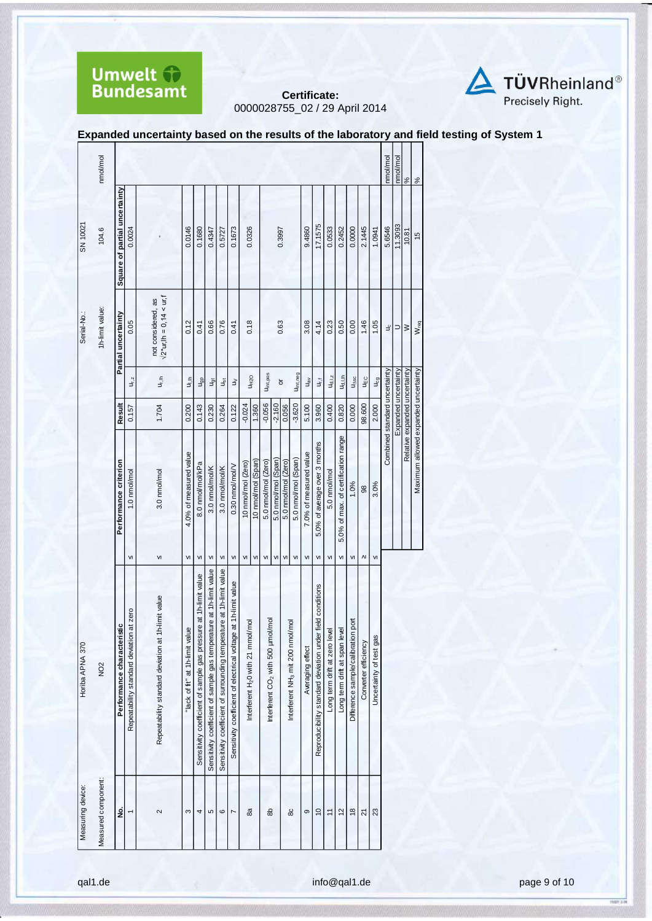



**Expanded uncertainty based on the results of the laboratory and field testing of System 1** 

|                   | nmol/mol           |                               |                                             |                                                        |                                    |                                                                  |                                                                     |                                                                           |                                                                 |                                               |                    |                                               |                     |                     |                                              |                        |                                                           |                               |                                     |                                    |                      |                         | nmol/mol                      | nmol/mol             | $\frac{5}{6}$                 | $\frac{8}{6}$                        |
|-------------------|--------------------|-------------------------------|---------------------------------------------|--------------------------------------------------------|------------------------------------|------------------------------------------------------------------|---------------------------------------------------------------------|---------------------------------------------------------------------------|-----------------------------------------------------------------|-----------------------------------------------|--------------------|-----------------------------------------------|---------------------|---------------------|----------------------------------------------|------------------------|-----------------------------------------------------------|-------------------------------|-------------------------------------|------------------------------------|----------------------|-------------------------|-------------------------------|----------------------|-------------------------------|--------------------------------------|
| SN 10021          | 104.6              | Square of partial uncertainty | 0.0024                                      |                                                        | 0.0146                             | 0.1680                                                           | 0.4347                                                              | 0.5727                                                                    | 0.1673                                                          | 0.0326                                        |                    |                                               | 0.3997              |                     |                                              | 9.4860                 | 17.1575                                                   | 0.0533                        | 0.2452                              | 0.0000                             | 2.1445               | 1.0941                  | 5.6546                        | 11.3093              | 10.81                         | $\frac{15}{2}$                       |
| Serial-No.:       | 1h-limit value:    | Partial uncertainty           | 0.05                                        | not considered, as<br>$\sqrt{2^*}$ ur,lh = 0,14 < ur,f | 0.12                               | 0.41                                                             | 0.66                                                                | 0.76                                                                      | 0.41                                                            | 0.18                                          |                    |                                               |                     | 0.63                |                                              | 3.08                   | 4.14                                                      | 0.23                          | 0.50                                | 0.00                               | 1.46                 | 1.05                    | ٩ç                            | $\supset$            | $\geq$                        | W <sub>req</sub>                     |
|                   |                    |                               | $U_{r,z}$                                   | u,⊪                                                    | aj<br>⊐                            | $u_{\text{gp}}$                                                  | $u_{gt}$                                                            | Jst                                                                       | $\gtrless$                                                      | <b>UH2O</b>                                   |                    | Uint, pos                                     |                     | ð                   | Uint, neg                                    | $u_{\rm av}$           | υ,                                                        | $U_{d,1,z}$                   | Ud.I.h                              | $U_{\Delta SC}$                    | UΕC                  | $U_{cg}$                |                               |                      |                               |                                      |
|                   |                    | Result                        | 0.157                                       | 1.704                                                  | 0.200                              | 0.143                                                            | 0.230                                                               | 0.264                                                                     | 0.122                                                           | $-0.024$                                      | 1.360              | $-0.056$                                      | $-2.160$            | 0.056               | $-3.620$                                     | 5.100                  | 3.960                                                     | 0.400                         | 0.820                               | 0.000                              | 98.600               | 2.000                   |                               | Expanded uncertainty |                               |                                      |
|                   |                    | Performance criterion         | 1.0 nmol/mol                                | 3.0 nmol/mol                                           | 4.0% of measured value             | 8.0 nmol/mol/kPa                                                 | 3.0 nmol/mol/K                                                      | 3.0 nmol/mol/K                                                            | 0.30 nmol/mol/V                                                 | 10 nmol/mol (Zero)                            | 10 nmol/mol (Span) | 5.0 nmol/mol (Zero)                           | 5.0 nmol/mol (Span) | 5.0 nmol/mol (Zero) | 5.0 nmol/mol (Span)                          | 7.0% of measured value | 5.0% of average over 3 months                             | 5.0 nmol/mol                  | 5.0% of max. of certification range | 1.0%                               | 98                   | 3.0%                    | Combined standard uncertainty |                      | Relative expanded uncertainty | Maximum allowed expanded uncertainty |
|                   |                    |                               | VI                                          | VI                                                     | $\mathsf{VI}$                      | VI                                                               | VI                                                                  | VI                                                                        | VI                                                              | $\mathsf{VI}$                                 | VI                 | VI                                            | VI                  | VI                  | VI                                           | VI                     | VI                                                        | VI                            | $\mathsf{v}$                        | VI                                 | $\Lambda$            | VI                      |                               |                      |                               |                                      |
| Horiba APNA 370   | NO <sub>2</sub>    | sic<br>Performance characteri | at zero<br>Repeatability standard deviation | Repeatability standard deviation at 1h-limit value     | g<br>"lack of fit" at 1h-limit val | Sensitivity coefficient of sample gas pressure at 1h-limit value | Sensitivity coefficient of sample gas temperature at 1h-limit value | ature at 1h-limit value<br>Sensitivity coefficient of surrounding tempera | Sensitivity coefficient of electrical voltage at 1h-limit value | Interferent H <sub>2</sub> 0 with 21 mmol/mol |                    | Interferent CO <sub>2</sub> with 500 µmol/mol |                     |                     | Interferent NH <sub>3</sub> mit 200 nmol/mol | Averaging effect       | Reproducibility standard deviation under field conditions | Long term drift at zero level | Long term drift at span level       | Difference sample/calibration port | Converter efficiency | Uncertainty of test gas |                               |                      |                               |                                      |
| Measuring device: | Measured component | ġ                             |                                             | $\sim$                                                 | 3                                  | 4                                                                | 5                                                                   | ဖ                                                                         | Z                                                               | æ                                             |                    | 8                                             |                     |                     | 80                                           | თ                      | $\tilde{a}$                                               | $\overline{1}$                | $\frac{2}{3}$                       | $\frac{8}{3}$                      | $\overline{2}$       | 23                      |                               |                      |                               |                                      |

qal1.de **info@qal1.de** page 9 of [10](#page-9-0)